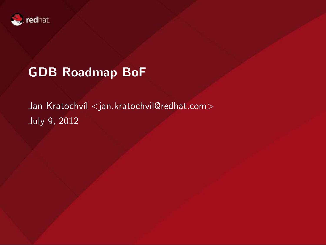

### GDB Roadmap BoF

Jan Kratochvíl <jan.kratochvil@redhat.com> July 9, 2012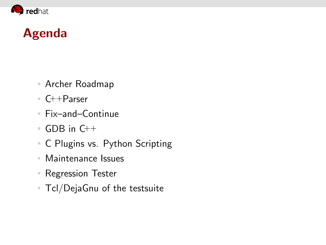

## Agenda

- Archer Roadmap
- $C++P$ arser
- Fix–and–Continue
- $\overline{G}$  GDB in C++
- C Plugins vs. Python Scripting
- Maintenance Issues  $\mathbb{R}^n$
- Regression Tester
- Tcl/DejaGnu of the testsuite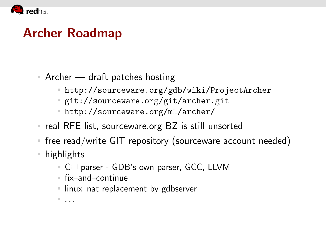

## Archer Roadmap

- Archer draft patches hosting
	- <http://sourceware.org/gdb/wiki/ProjectArcher>
	- <git://sourceware.org/git/archer.git>
	- <http://sourceware.org/ml/archer/>
- real RFE list, sourceware.org BZ is still unsorted
- free read/write GIT repository (sourceware account needed)
- highlights
	- C++parser GDB's own parser, GCC, LLVM
	- fix–and–continue
	- $\blacksquare$  linux–nat replacement by gdbserver
	- $\overline{a}$ ...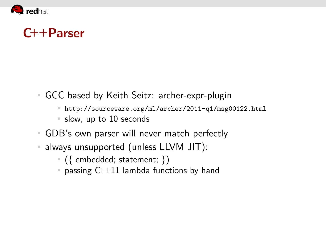

#### C++Parser

- GCC based by Keith Seitz: archer-expr-plugin
	- <http://sourceware.org/ml/archer/2011-q1/msg00122.html>
	- slow, up to 10 seconds
- GDB's own parser will never match perfectly
- always unsupported (unless LLVM JIT):  $\equiv$ 
	- $($ { embedded; statement; })
	- passing  $C+11$  lambda functions by hand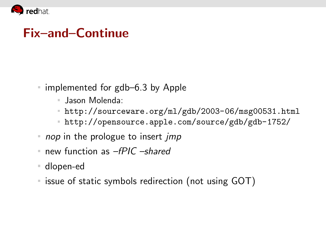

### Fix–and–Continue

- implemented for gdb–6.3 by Apple
	- Jason Molenda:  $\mathbb{R}^2$
	- <http://sourceware.org/ml/gdb/2003-06/msg00531.html>
	- <http://opensource.apple.com/source/gdb/gdb-1752/>
- $\blacksquare$  nop in the prologue to insert *jmp*
- new function as  $-fPIC$  –shared
- dlopen-ed
- $\blacksquare$  issue of static symbols redirection (not using GOT)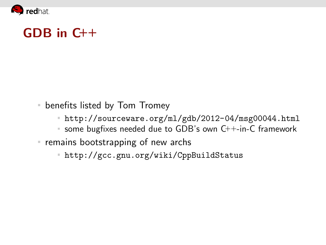

## GDB in C++

- benefits listed by Tom Tromey
	- <http://sourceware.org/ml/gdb/2012-04/msg00044.html>
	- some bugfixes needed due to GDB's own  $C++-$ in-C framework
- remains bootstrapping of new archs
	- <http://gcc.gnu.org/wiki/CppBuildStatus>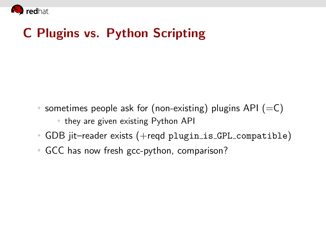

# C Plugins vs. Python Scripting

- sometimes people ask for (non-existing) plugins API (=C)  $\blacksquare$  they are given existing Python API
- GDB jit–reader exists (+reqd plugin is GPL compatible)
- GCC has now fresh gcc-python, comparison?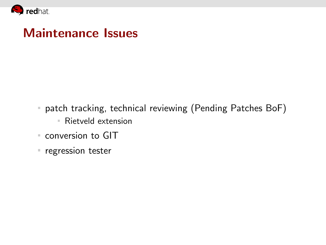

### Maintenance Issues

- patch tracking, technical reviewing (Pending Patches BoF)
	- Rietveld extension  $\bar{\alpha}$
- conversion to GIT
- **regression tester**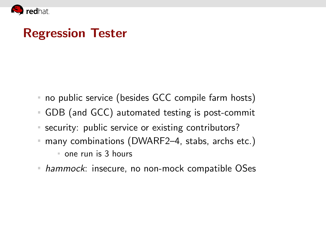

### Regression Tester

- no public service (besides GCC compile farm hosts)
- GDB (and GCC) automated testing is post-commit
- security: public service or existing contributors?
- many combinations (DWARF2–4, stabs, archs etc.)  $\overline{ }$  one run is 3 hours
- **hammock: insecure, no non-mock compatible OSes**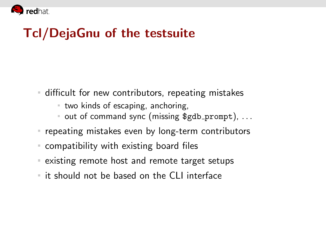

# Tcl/DejaGnu of the testsuite

- difficult for new contributors, repeating mistakes
	- two kinds of escaping, anchoring,
	- $\blacksquare$  out of command sync (missing  $\text{\$gdb\_prompt}$ ), ...
- repeating mistakes even by long-term contributors
- compatibility with existing board files
- existing remote host and remote target setups
- it should not be based on the CLI interface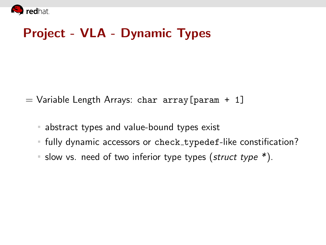

# Project - VLA - Dynamic Types

 $=$  Variable Length Arrays: char array [param + 1]

- abstract types and value-bound types exist
- fully dynamic accessors or check typedef-like constification?
- slow vs. need of two inferior type types (struct type  $*)$ ).